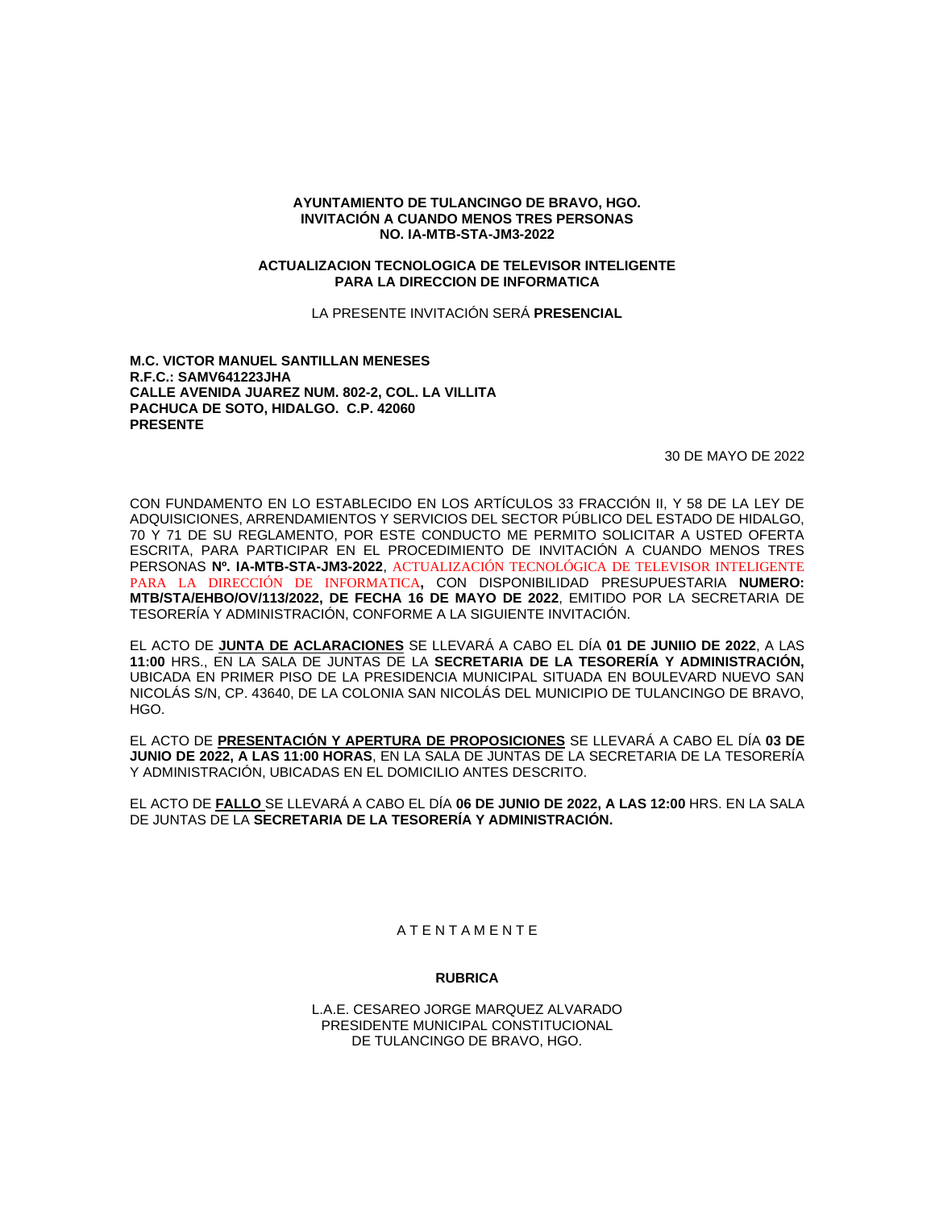## **AYUNTAMIENTO DE TULANCINGO DE BRAVO, HGO. INVITACIÓN A CUANDO MENOS TRES PERSONAS NO. IA-MTB-STA-JM3-2022**

#### **ACTUALIZACION TECNOLOGICA DE TELEVISOR INTELIGENTE PARA LA DIRECCION DE INFORMATICA**

LA PRESENTE INVITACIÓN SERÁ **PRESENCIAL**

## **M.C. VICTOR MANUEL SANTILLAN MENESES R.F.C.: SAMV641223JHA CALLE AVENIDA JUAREZ NUM. 802-2, COL. LA VILLITA PACHUCA DE SOTO, HIDALGO. C.P. 42060 PRESENTE**

30 DE MAYO DE 2022

CON FUNDAMENTO EN LO ESTABLECIDO EN LOS ARTÍCULOS 33 FRACCIÓN II, Y 58 DE LA LEY DE ADQUISICIONES, ARRENDAMIENTOS Y SERVICIOS DEL SECTOR PÚBLICO DEL ESTADO DE HIDALGO, 70 Y 71 DE SU REGLAMENTO, POR ESTE CONDUCTO ME PERMITO SOLICITAR A USTED OFERTA ESCRITA, PARA PARTICIPAR EN EL PROCEDIMIENTO DE INVITACIÓN A CUANDO MENOS TRES PERSONAS **Nº. IA-MTB-STA-JM3-2022**, ACTUALIZACIÓN TECNOLÓGICA DE TELEVISOR INTELIGENTE PARA LA DIRECCIÓN DE INFORMATICA**,** CON DISPONIBILIDAD PRESUPUESTARIA **NUMERO: MTB/STA/EHBO/OV/113/2022, DE FECHA 16 DE MAYO DE 2022**, EMITIDO POR LA SECRETARIA DE TESORERÍA Y ADMINISTRACIÓN, CONFORME A LA SIGUIENTE INVITACIÓN.

EL ACTO DE **JUNTA DE ACLARACIONES** SE LLEVARÁ A CABO EL DÍA **01 DE JUNIIO DE 2022**, A LAS **11:00** HRS., EN LA SALA DE JUNTAS DE LA **SECRETARIA DE LA TESORERÍA Y ADMINISTRACIÓN,** UBICADA EN PRIMER PISO DE LA PRESIDENCIA MUNICIPAL SITUADA EN BOULEVARD NUEVO SAN NICOLÁS S/N, CP. 43640, DE LA COLONIA SAN NICOLÁS DEL MUNICIPIO DE TULANCINGO DE BRAVO, HGO.

EL ACTO DE **PRESENTACIÓN Y APERTURA DE PROPOSICIONES** SE LLEVARÁ A CABO EL DÍA **03 DE JUNIO DE 2022, A LAS 11:00 HORAS**, EN LA SALA DE JUNTAS DE LA SECRETARIA DE LA TESORERÍA Y ADMINISTRACIÓN, UBICADAS EN EL DOMICILIO ANTES DESCRITO.

EL ACTO DE **FALLO** SE LLEVARÁ A CABO EL DÍA **06 DE JUNIO DE 2022, A LAS 12:00** HRS. EN LA SALA DE JUNTAS DE LA **SECRETARIA DE LA TESORERÍA Y ADMINISTRACIÓN.**

## A T E N T A M E N T E

#### **RUBRICA**

L.A.E. CESAREO JORGE MARQUEZ ALVARADO PRESIDENTE MUNICIPAL CONSTITUCIONAL DE TULANCINGO DE BRAVO, HGO.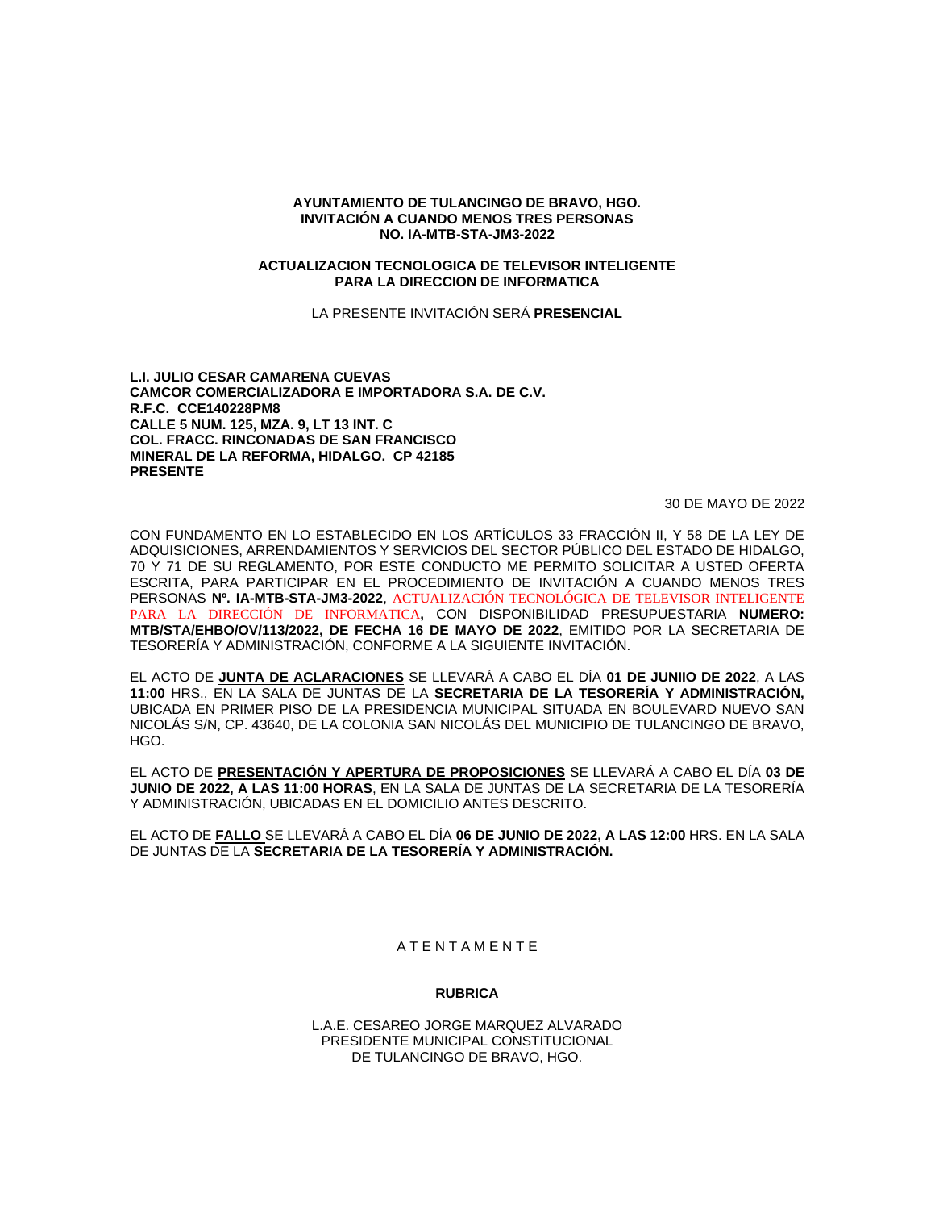## **AYUNTAMIENTO DE TULANCINGO DE BRAVO, HGO. INVITACIÓN A CUANDO MENOS TRES PERSONAS NO. IA-MTB-STA-JM3-2022**

#### **ACTUALIZACION TECNOLOGICA DE TELEVISOR INTELIGENTE PARA LA DIRECCION DE INFORMATICA**

LA PRESENTE INVITACIÓN SERÁ **PRESENCIAL**

**L.I. JULIO CESAR CAMARENA CUEVAS CAMCOR COMERCIALIZADORA E IMPORTADORA S.A. DE C.V. R.F.C. CCE140228PM8 CALLE 5 NUM. 125, MZA. 9, LT 13 INT. C COL. FRACC. RINCONADAS DE SAN FRANCISCO MINERAL DE LA REFORMA, HIDALGO. CP 42185 PRESENTE**

30 DE MAYO DE 2022

CON FUNDAMENTO EN LO ESTABLECIDO EN LOS ARTÍCULOS 33 FRACCIÓN II, Y 58 DE LA LEY DE ADQUISICIONES, ARRENDAMIENTOS Y SERVICIOS DEL SECTOR PÚBLICO DEL ESTADO DE HIDALGO, 70 Y 71 DE SU REGLAMENTO, POR ESTE CONDUCTO ME PERMITO SOLICITAR A USTED OFERTA ESCRITA, PARA PARTICIPAR EN EL PROCEDIMIENTO DE INVITACIÓN A CUANDO MENOS TRES PERSONAS **Nº. IA-MTB-STA-JM3-2022**, ACTUALIZACIÓN TECNOLÓGICA DE TELEVISOR INTELIGENTE PARA LA DIRECCIÓN DE INFORMATICA**,** CON DISPONIBILIDAD PRESUPUESTARIA **NUMERO: MTB/STA/EHBO/OV/113/2022, DE FECHA 16 DE MAYO DE 2022**, EMITIDO POR LA SECRETARIA DE TESORERÍA Y ADMINISTRACIÓN, CONFORME A LA SIGUIENTE INVITACIÓN.

EL ACTO DE **JUNTA DE ACLARACIONES** SE LLEVARÁ A CABO EL DÍA **01 DE JUNIIO DE 2022**, A LAS **11:00** HRS., EN LA SALA DE JUNTAS DE LA **SECRETARIA DE LA TESORERÍA Y ADMINISTRACIÓN,** UBICADA EN PRIMER PISO DE LA PRESIDENCIA MUNICIPAL SITUADA EN BOULEVARD NUEVO SAN NICOLÁS S/N, CP. 43640, DE LA COLONIA SAN NICOLÁS DEL MUNICIPIO DE TULANCINGO DE BRAVO, HGO.

EL ACTO DE **PRESENTACIÓN Y APERTURA DE PROPOSICIONES** SE LLEVARÁ A CABO EL DÍA **03 DE JUNIO DE 2022, A LAS 11:00 HORAS**, EN LA SALA DE JUNTAS DE LA SECRETARIA DE LA TESORERÍA Y ADMINISTRACIÓN, UBICADAS EN EL DOMICILIO ANTES DESCRITO.

EL ACTO DE **FALLO** SE LLEVARÁ A CABO EL DÍA **06 DE JUNIO DE 2022, A LAS 12:00** HRS. EN LA SALA DE JUNTAS DE LA **SECRETARIA DE LA TESORERÍA Y ADMINISTRACIÓN.**

# A T E N T A M E N T E

# **RUBRICA**

L.A.E. CESAREO JORGE MARQUEZ ALVARADO PRESIDENTE MUNICIPAL CONSTITUCIONAL DE TULANCINGO DE BRAVO, HGO.